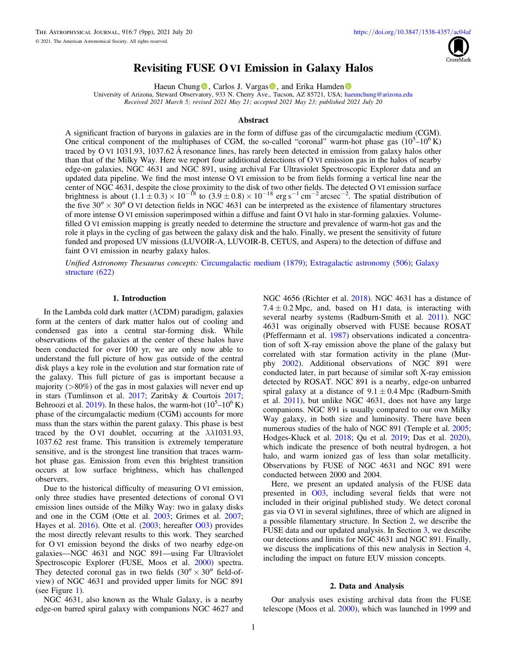

# Revisiting FUSE OVI Emission in Galaxy Halos

Haeun Chun[g](https://orcid.org/0000-0002-3043-2555)  $\mathbf{D}$ [,](https://orcid.org/0000-0002-3043-2555) Carlo[s](https://orcid.org/0000-0001-7936-0831) J. Vargas  $\mathbf{D}$ , a[n](https://orcid.org/0000-0002-3131-7372)d Erika Hamden  $\mathbf{D}$ 

University of Arizona, Steward Observ[ator](https://orcid.org/0000-0002-3043-2555)y, 933 N. Cherry Ave[.,](https://orcid.org/0000-0001-7936-0831) [T](https://orcid.org/0000-0001-7936-0831)ucson, AZ 85721, USA; [haeunchung@arizona.edu](mailto:haeunchung@arizona.edu) Received 2021 March 5; revised 2021 May 21; accepted 2021 May 23; published 2021 July 20

#### Abstract

A significant fraction of baryons in galaxies are in the form of diffuse gas of the circumgalactic medium (CGM). One critical component of the multiphases of CGM, the so-called "coronal" warm-hot phase gas  $(10^5-10^6 \text{ K})$ traced by O VI 1031.93, 1037.62 Å resonance lines, has rarely been detected in emission from galaxy halos other than that of the Milky Way. Here we report four additional detections of O VI emission gas in the halos of nearby edge-on galaxies, NGC 4631 and NGC 891, using archival Far Ultraviolet Spectroscopic Explorer data and an updated data pipeline. We find the most intense O VI emission to be from fields forming a vertical line near the center of NGC 4631, despite the close proximity to the disk of two other fields. The detected O VI emission surface brightness is about  $(1.1 \pm 0.3) \times 10^{-18}$  to  $(3.9 \pm 0.8) \times 10^{-18}$  erg s<sup>-1</sup> cm<sup>-2</sup> arcsec<sup>-2</sup>. The spatial distribution of the five  $30'' \times 30''$  O VI detection fields in NGC 4631 can be interpreted as the existence of filamentary structures of more intense O VI emission superimposed within a diffuse and faint O VI halo in star-forming galaxies. Volumefilled O VI emission mapping is greatly needed to determine the structure and prevalence of warm-hot gas and the role it plays in the cycling of gas between the galaxy disk and the halo. Finally, we present the sensitivity of future funded and proposed UV missions (LUVOIR-A, LUVOIR-B, CETUS, and Aspera) to the detection of diffuse and faint O VI emission in nearby galaxy halos.

Unified Astronomy Thesaurus concepts: [Circumgalactic medium](http://astrothesaurus.org/uat/1879) (1879); [Extragalactic astronomy](http://astrothesaurus.org/uat/506) (506); [Galaxy](http://astrothesaurus.org/uat/622) [structure](http://astrothesaurus.org/uat/622) (622)

# 1. Introduction

In the Lambda cold dark matter (ΛCDM) paradigm, galaxies form at the centers of dark matter halos out of cooling and condensed gas into a central star-forming disk. While observations of the galaxies at the center of these halos have been conducted for over 100 yr, we are only now able to understand the full picture of how gas outside of the central disk plays a key role in the evolution and star formation rate of the galaxy. This full picture of gas is important because a majority  $(>\!\!80\%)$  of the gas in most galaxies will never end up in stars (Tumlinson et al. [2017](#page-8-0); Zaritsky & Courtois [2017](#page-8-0); Behroozi et al. [2019](#page-8-0)). In these halos, the warm-hot  $(10^5 - 10^6 \text{ K})$ phase of the circumgalactic medium (CGM) accounts for more mass than the stars within the parent galaxy. This phase is best traced by the O VI doublet, occurring at the  $\lambda \lambda$ 1031.93, 1037.62 rest frame. This transition is extremely temperature sensitive, and is the strongest line transition that traces warmhot phase gas. Emission from even this brightest transition occurs at low surface brightness, which has challenged observers.

Due to the historical difficulty of measuring O VI emission, only three studies have presented detections of coronal O VI emission lines outside of the Milky Way: two in galaxy disks and one in the CGM (Otte et al. [2003;](#page-8-0) Grimes et al. [2007](#page-8-0); Hayes et al. [2016](#page-8-0)). Otte et al. ([2003](#page-8-0); hereafter [O03](#page-8-0)) provides the most directly relevant results to this work. They searched for O VI emission beyond the disks of two nearby edge-on galaxies—NGC 4631 and NGC 891—using Far Ultraviolet Spectroscopic Explorer (FUSE, Moos et al. [2000](#page-8-0)) spectra. They detected coronal gas in two fields  $(30'' \times 30'')$  field-ofview) of NGC 4631 and provided upper limits for NGC 891 (see Figure [1](#page-1-0)).

NGC 4631, also known as the Whale Galaxy, is a nearby edge-on barred spiral galaxy with companions NGC 4627 and

NGC 4656 (Richter et al. [2018](#page-8-0)). NGC 4631 has a distance of  $7.4 \pm 0.2$  Mpc, and, based on H<sub>I</sub> data, is interacting with several nearby systems (Radburn-Smith et al. [2011](#page-8-0)). NGC 4631 was originally observed with FUSE because ROSAT (Pfeffermann et al. [1987](#page-8-0)) observations indicated a concentration of soft X-ray emission above the plane of the galaxy but correlated with star formation activity in the plane (Murphy [2002](#page-8-0)). Additional observations of NGC 891 were conducted later, in part because of similar soft X-ray emission detected by ROSAT. NGC 891 is a nearby, edge-on unbarred spiral galaxy at a distance of  $9.1 \pm 0.4$  Mpc (Radburn-Smith et al. [2011](#page-8-0)), but unlike NGC 4631, does not have any large companions. NGC 891 is usually compared to our own Milky Way galaxy, in both size and luminosity. There have been numerous studies of the halo of NGC 891 (Temple et al. [2005](#page-8-0); Hodges-Kluck et al. [2018](#page-8-0); Qu et al. [2019](#page-8-0); Das et al. [2020](#page-8-0)), which indicate the presence of both neutral hydrogen, a hot halo, and warm ionized gas of less than solar metallicity. Observations by FUSE of NGC 4631 and NGC 891 were conducted between 2000 and 2004.

Here, we present an updated analysis of the FUSE data presented in [O03,](#page-8-0) including several fields that were not included in their original published study. We detect coronal gas via O VI in several sightlines, three of which are aligned in a possible filamentary structure. In Section 2, we describe the FUSE data and our updated analysis. In Section [3,](#page-2-0) we describe our detections and limits for NGC 4631 and NGC 891. Finally, we discuss the implications of this new analysis in Section [4](#page-3-0), including the impact on future EUV mission concepts.

#### 2. Data and Analysis

Our analysis uses existing archival data from the FUSE telescope (Moos et al. [2000](#page-8-0)), which was launched in 1999 and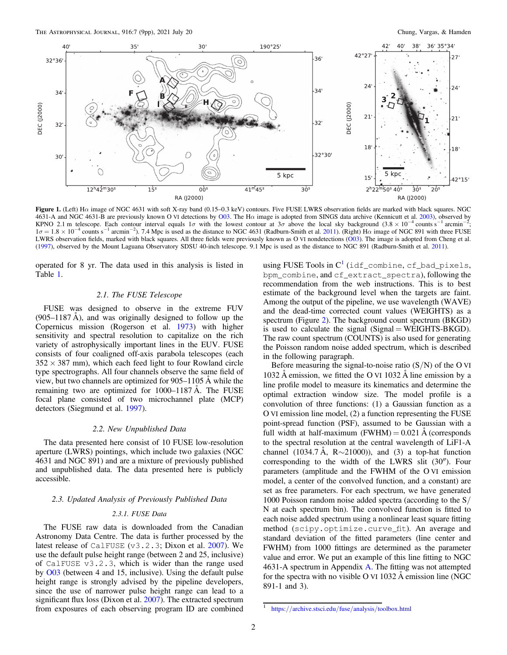<span id="page-1-0"></span>

Figure 1. (Left) H $\alpha$  image of NGC 4631 with soft X-ray band (0.15–0.3 keV) contours. Five FUSE LWRS observation fields are marked with black squares. NGC 4631-A and NGC 4631-B are previously known O VI detections by [O03.](#page-8-0) The Hα image is adopted from SINGS data archive (Kennicutt et al. [2003](#page-8-0)), observed by KPNO 2.1 m telescope. Each contour interval equals 1 $\sigma$  with the lowest contour at 3 $\sigma$  above the local sky background (3.8 × 10<sup>-4</sup> counts s<sup>-1</sup> arcmin<sup>-2</sup> ;  $1\sigma = 1.8 \times 10^{-4}$  counts s<sup>-1</sup> arcmin<sup>-2</sup>). 7.4 Mpc is used as the distance to NGC 4631 (Radburn-Smith et al. [2011](#page-8-0)). (Right) H $\alpha$  image of NGC 891 with three FUSE LWRS observation fields, marked with black squares. All three fields were previously known as O VI nondetections ([O03](#page-8-0)). The image is adopted from Cheng et al. ([1997](#page-8-0)), observed by the Mount Laguana Observatory SDSU 40-inch telescope. 9.1 Mpc is used as the distance to NGC 891 (Radburn-Smith et al. [2011](#page-8-0)).

operated for 8 yr. The data used in this analysis is listed in Table [1.](#page-2-0)

## 2.1. The FUSE Telescope

FUSE was designed to observe in the extreme FUV  $(905-1187 \text{ Å})$ , and was originally designed to follow up the Copernicus mission (Rogerson et al. [1973](#page-8-0)) with higher sensitivity and spectral resolution to capitalize on the rich variety of astrophysically important lines in the EUV. FUSE consists of four coaligned off-axis parabola telescopes (each  $352 \times 387$  mm), which each feed light to four Rowland circle type spectrographs. All four channels observe the same field of view, but two channels are optimized for 905–1105 Å while the remaining two are optimized for 1000–1187 Å. The FUSE focal plane consisted of two microchannel plate (MCP) detectors (Siegmund et al. [1997](#page-8-0)).

#### 2.2. New Unpublished Data

The data presented here consist of 10 FUSE low-resolution aperture (LWRS) pointings, which include two galaxies (NGC 4631 and NGC 891) and are a mixture of previously published and unpublished data. The data presented here is publicly accessible.

# 2.3. Updated Analysis of Previously Published Data

## 2.3.1. FUSE Data

The FUSE raw data is downloaded from the Canadian Astronomy Data Centre. The data is further processed by the latest release of CalFUSE ( $v3.2.3$ ; Dixon et al. [2007](#page-8-0)). We use the default pulse height range (between 2 and 25, inclusive) of CalFUSE v3.2.3, which is wider than the range used by [O03](#page-8-0) (between 4 and 15, inclusive). Using the default pulse height range is strongly advised by the pipeline developers, since the use of narrower pulse height range can lead to a significant flux loss (Dixon et al. [2007](#page-8-0)). The extracted spectrum from exposures of each observing program ID are combined

using FUSE Tools in  $C^1$  (idf\_combine, cf\_bad\_pixels, bpm\_combine, and cf\_extract\_spectra), following the recommendation from the web instructions. This is to best estimate of the background level when the targets are faint. Among the output of the pipeline, we use wavelength (WAVE) and the dead-time corrected count values (WEIGHTS) as a spectrum (Figure [2](#page-3-0)). The background count spectrum (BKGD) is used to calculate the signal  $(Signal = WEIGHTS-BKGD)$ . The raw count spectrum (COUNTS) is also used for generating the Poisson random noise added spectrum, which is described in the following paragraph.

Before measuring the signal-to-noise ratio  $(S/N)$  of the O VI 1032 Å emission, we fitted the O VI 1032 Å line emission by a line profile model to measure its kinematics and determine the optimal extraction window size. The model profile is a convolution of three functions: (1) a Gaussian function as a O VI emission line model, (2) a function representing the FUSE point-spread function (PSF), assumed to be Gaussian with a full width at half-maximum  $(FWHM) = 0.021$  Å (corresponds to the spectral resolution at the central wavelength of LiF1-A channel (1034.7 Å, R $\sim$ 21000)), and (3) a top-hat function corresponding to the width of the LWRS slit (30″). Four parameters (amplitude and the FWHM of the O VI emission model, a center of the convolved function, and a constant) are set as free parameters. For each spectrum, we have generated 1000 Poisson random noise added spectra (according to the S/ N at each spectrum bin). The convolved function is fitted to each noise added spectrum using a nonlinear least square fitting method (scipy.optimize.curve\_fit). An average and standard deviation of the fitted parameters (line center and FWHM) from 1000 fittings are determined as the parameter value and error. We put an example of this line fitting to NGC 4631-A spectrum in Appendix [A](#page-6-0). The fitting was not attempted for the spectra with no visible O VI 1032 Å emission line (NGC 891-1 and 3).

https://[archive.stsci.edu](https://archive.stsci.edu/fuse/analysis/toolbox.html)/fuse/analysis/toolbox.html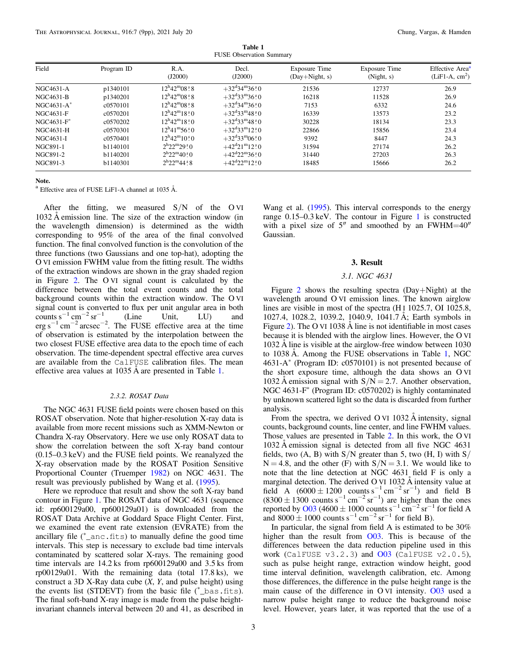Table 1 FUSE Observation Summary

<span id="page-2-0"></span>

| Field         | Program ID | R.A.<br>(J2000)                       | Decl.<br>(J2000)                         | Exposure Time<br>$(Day+Night, s)$ | Exposure Time<br>(Night, s) | Effective Area <sup>a</sup><br>$(LiF1-A, cm2)$ |
|---------------|------------|---------------------------------------|------------------------------------------|-----------------------------------|-----------------------------|------------------------------------------------|
| NGC4631-A     | p1340101   | $12^{\rm h}42^{\rm m}08$ s 8          | $+32^{\rm d}34^{\rm m}36\degree0$        | 21536                             | 12737                       | 26.9                                           |
| NGC4631-B     | p1340201   | $12^{\rm h}42^{\rm m}08^{\rm s}8$     | $+32^{\rm d}33^{\rm m}36^{\rm s}0$       | 16218                             | 11528                       | 26.9                                           |
| $NGC4631-A*$  | c0570101   | $12^{\rm h}42^{\rm m}08^{\rm s}8$     | $+32^{\rm d}34^{\rm m}36\degree0$        | 7153                              | 6332                        | 24.6                                           |
| NGC4631-F     | c0570201   | $12^{\rm h}42^{\rm m}18.8^{\rm s}$ 0  | $+32^{\rm d}33^{\rm m}48\substack{5.0$   | 16339                             | 13573                       | 23.2                                           |
| $NGC4631-F$ * | c0570202   | $12^{\rm h}42^{\rm m}18^{\rm s}0$     | $+32^{\rm d}33^{\rm m}48\,{}^{\rm s}\,0$ | 30228                             | 18134                       | 23.3                                           |
| NGC4631-H     | c0570301   | $12^{\rm h}41^{\rm m}56^{\rm s}0$     | $+32^{\circ}33^{\circ}12^{\circ}0$       | 22866                             | 15856                       | 23.4                                           |
| NGC4631-I     | c0570401   | $12^{\rm h}42^{\rm m}10\degree 0$     | $+32^{\circ}33^{\circ}06^{\circ}0$       | 9392                              | 8447                        | 24.3                                           |
| NGC891-1      | b1140101   | $2^{h}22^{m}29^{s}0$                  | $+42^{\circ}21^{\circ}12^{\circ}0$       | 31594                             | 27174                       | 26.2                                           |
| NGC891-2      | b1140201   | $2^{h}22^{m}40\overset{\text{s}}{.}0$ | $+42^{\rm d}22^{\rm m}36\degree 0$       | 31440                             | 27203                       | 26.3                                           |
| NGC891-3      | b1140301   | $2^{h}22^{m}44.88$                    | $+42^{\rm d}22^{\rm m}12^{\rm s}0$       | 18485                             | 15666                       | 26.2                                           |

Note.

 $^{\text{a}}$  Effective area of FUSE LiF1-A channel at 1035 Å.

After the fitting, we measured  $S/N$  of the OVI 1032 Å emission line. The size of the extraction window (in the wavelength dimension) is determined as the width corresponding to 95% of the area of the final convolved function. The final convolved function is the convolution of the three functions (two Gaussians and one top-hat), adopting the O VI emission FWHM value from the fitting result. The widths of the extraction windows are shown in the gray shaded region in Figure [2.](#page-3-0) The O VI signal count is calculated by the difference between the total event counts and the total background counts within the extraction window. The O VI signal count is converted to flux per unit angular area in both counts s<sup>-1</sup> cm<sup>-2</sup> sr<sup>-1</sup> (Line Unit, LU) and  $\text{erg s}^{-1} \text{ cm}^{-2} \text{ arcsec}^{-2}$ . The FUSE effective area at the time of observation is estimated by the interpolation between the two closest FUSE effective area data to the epoch time of each observation. The time-dependent spectral effective area curves are available from the CalFUSE calibration files. The mean effective area values at 1035 Å are presented in Table 1.

#### 2.3.2. ROSAT Data

The NGC 4631 FUSE field points were chosen based on this ROSAT observation. Note that higher-resolution X-ray data is available from more recent missions such as XMM-Newton or Chandra X-ray Observatory. Here we use only ROSAT data to show the correlation between the soft X-ray band contour (0.15–0.3 keV) and the FUSE field points. We reanalyzed the X-ray observation made by the ROSAT Position Sensitive Proportional Counter (Truemper [1982](#page-8-0)) on NGC 4631. The result was previously published by Wang et al. ([1995](#page-8-0)).

Here we reproduce that result and show the soft X-ray band contour in Figure [1.](#page-1-0) The ROSAT data of NGC 4631 (sequence id: rp600129a00, rp600129a01) is downloaded from the ROSAT Data Archive at Goddard Space Flight Center. First, we examined the event rate extension (EVRATE) from the ancillary file ( \* \_anc.fits) to manually define the good time intervals. This step is necessary to exclude bad time intervals contaminated by scattered solar X-rays. The remaining good time intervals are 14.2 ks from rp600129a00 and 3.5 ks from rp00129a01. With the remaining data (total 17.8 ks), we construct a 3D X-Ray data cube  $(X, Y, \text{ and pulse height})$  using the events list (STDEVT) from the basic file  $(*_b$  bas.fits). The final soft-band X-ray image is made from the pulse heightinvariant channels interval between 20 and 41, as described in

Wang et al. ([1995](#page-8-0)). This interval corresponds to the energy range 0.15–0.3 keV. The contour in Figure [1](#page-1-0) is constructed with a pixel size of  $5''$  and smoothed by an FWHM=40" Gaussian.

#### 3. Result

# 3.1. NGC 4631

Figure [2](#page-3-0) shows the resulting spectra (Day+Night) at the wavelength around O VI emission lines. The known airglow lines are visible in most of the spectra (H I 1025.7, OI 1025.8, 1027.4, 1028.2, 1039.2, 1040.9, 1041.7 Å; Earth symbols in Figure [2](#page-3-0)). The O VI 1038 Å line is not identifiable in most cases because it is blended with the airglow lines. However, the O VI 1032 Å line is visible at the airglow-free window between 1030 to 1038 Å. Among the FUSE observations in Table 1, NGC 4631-A\* (Program ID: c0570101) is not presented because of the short exposure time, although the data shows an O VI 1032 Å emission signal with  $S/N = 2.7$ . Another observation, NGC 4631-F\* (Program ID: c0570202) is highly contaminated by unknown scattered light so the data is discarded from further analysis.

From the spectra, we derived O VI 1032 Å intensity, signal counts, background counts, line center, and line FWHM values. Those values are presented in Table [2](#page-4-0). In this work, the O VI 1032 Å emission signal is detected from all five NGC 4631 fields, two  $(A, B)$  with  $S/N$  greater than 5, two  $(H, I)$  with  $S/N$  $N = 4.8$ , and the other (F) with  $S/N = 3.1$ . We would like to note that the line detection at NGC 4631 field F is only a marginal detection. The derived O VI 1032 Å intensity value at field A  $(6000 \pm 1200$  counts s<sup>-1</sup> cm<sup>-2</sup> sr<sup>-1</sup>) and field B  $(8300 \pm 1300 \text{ counts s}^{-1} \text{ cm}^{-2} \text{ sr}^{-1})$  are higher than the ones reported by [O03](#page-8-0) (4600  $\pm$  1000 counts s<sup>-1</sup> cm<sup>-2</sup> sr<sup>-1</sup> for field A and  $8000 \pm 1000$  counts s<sup>-1</sup> cm<sup>-2</sup> sr<sup>-1</sup> for field B).

In particular, the signal from field A is estimated to be 30% higher than the result from [O03.](#page-8-0) This is because of the differences between the data reduction pipeline used in this work (CalFUSE  $v3.2.3$ ) and  $003$  (CalFUSE  $v2.0.5$ ), such as pulse height range, extraction window height, good time interval definition, wavelength calibration, etc. Among those differences, the difference in the pulse height range is the main cause of the difference in O VI intensity. [O03](#page-8-0) used a narrow pulse height range to reduce the background noise level. However, years later, it was reported that the use of a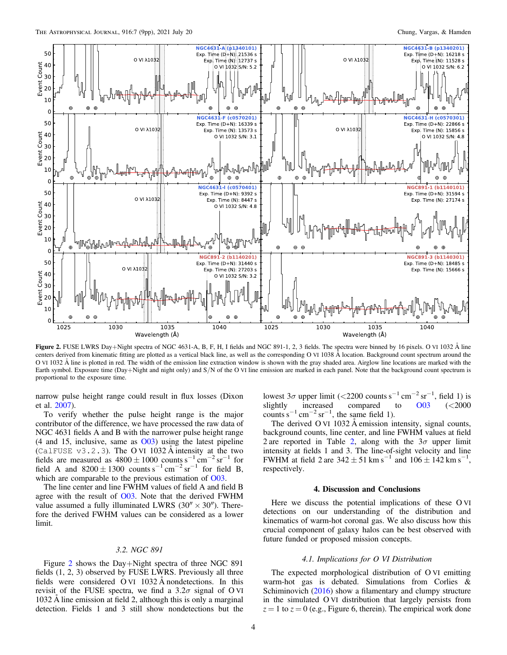<span id="page-3-0"></span>

Figure 2. FUSE LWRS Day+Night spectra of NGC 4631-A, B, F, H, I fields and NGC 891-1, 2, 3 fields. The spectra were binned by 16 pixels. O VI 1032 Å line centers derived from kinematic fitting are plotted as a vertical black line, as well as the corresponding O VI 1038 Å location. Background count spectrum around the O VI 1032 Å line is plotted in red. The width of the emission line extraction window is shown with the gray shaded area. Airglow line locations are marked with the Earth symbol. Exposure time (Day+Night and night only) and S/N of the O VI line emission are marked in each panel. Note that the background count spectrum is proportional to the exposure time.

narrow pulse height range could result in flux losses (Dixon et al. [2007](#page-8-0)).

To verify whether the pulse height range is the major contributor of the difference, we have processed the raw data of NGC 4631 fields A and B with the narrower pulse height range (4 and 15, inclusive, same as [O03](#page-8-0)) using the latest pipeline (CalFUSE  $v3.2.3$ ). The O VI 1032 Å intensity at the two fields are measured as  $4800 \pm 1000$  counts s<sup>-1</sup> cm<sup>-2</sup> sr<sup>-1</sup> for field A and  $8200 \pm 1300$  counts s<sup>-1</sup> cm<sup>-2</sup> sr<sup>-1</sup> for field B, which are comparable to the previous estimation of [O03.](#page-8-0)

The line center and line FWHM values of field A and field B agree with the result of [O03.](#page-8-0) Note that the derived FWHM value assumed a fully illuminated LWRS ( $30'' \times 30''$ ). Therefore the derived FWHM values can be considered as a lower limit.

# 3.2. NGC 891

Figure 2 shows the Day+Night spectra of three NGC 891 fields (1, 2, 3) observed by FUSE LWRS. Previously all three fields were considered O VI 1032 Å nondetections. In this revisit of the FUSE spectra, we find a  $3.2\sigma$  signal of O VI 1032 Å line emission at field 2, although this is only a marginal detection. Fields 1 and 3 still show nondetections but the lowest  $3\sigma$  upper limit (<2200 counts s<sup>-1</sup> cm<sup>-2</sup> sr<sup>-1</sup>, field 1) is slightly increased compared to [O03](#page-8-0) (<2000 counts s<sup>-1</sup> cm<sup>-2</sup> sr<sup>-1</sup>, the same field 1).

The derived O VI 1032 Å emission intensity, signal counts, background counts, line center, and line FWHM values at field [2](#page-4-0) are reported in Table 2, along with the  $3\sigma$  upper limit intensity at fields 1 and 3. The line-of-sight velocity and line FWHM at field 2 are  $342 \pm 51$  km s<sup>-1</sup> and  $106 \pm 142$  km s<sup>-1</sup>, respectively.

#### 4. Discussion and Conclusions

Here we discuss the potential implications of these O VI detections on our understanding of the distribution and kinematics of warm-hot coronal gas. We also discuss how this crucial component of galaxy halos can be best observed with future funded or proposed mission concepts.

## 4.1. Implications for O VI Distribution

The expected morphological distribution of O VI emitting warm-hot gas is debated. Simulations from Corlies & Schiminovich ([2016](#page-8-0)) show a filamentary and clumpy structure in the simulated O VI distribution that largely persists from  $z = 1$  to  $z = 0$  (e.g., Figure 6, therein). The empirical work done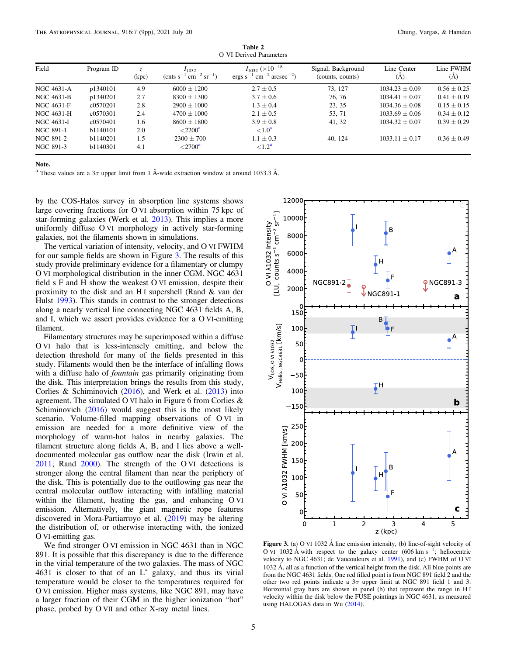<span id="page-4-0"></span>

| Field      | Program ID | Z.<br>(kpc) | $I_{1032}$<br>${\rm (cnts~s^{-1}~cm^{-2}~sr^{-1})}$ | $I_{1032}$ (×10 <sup>-18</sup> )<br>$\rm cm^{-2}$ arcsec <sup>-2</sup> )<br>$ergs s^{-1}$ | Signal, Background<br>(counts, counts) | Line Center<br>(A) | Line FWHM<br>(A) |
|------------|------------|-------------|-----------------------------------------------------|-------------------------------------------------------------------------------------------|----------------------------------------|--------------------|------------------|
| NGC 4631-A | p1340101   | 4.9         | $6000 \pm 1200$                                     | $2.7 \pm 0.5$                                                                             | 73.127                                 | $1034.23 + 0.09$   | $0.56 \pm 0.25$  |
| NGC 4631-B | p1340201   | 2.7         | $8300 + 1300$                                       | $3.7 \pm 0.6$                                                                             | 76.76                                  | $1034.41 \pm 0.07$ | $0.41 \pm 0.19$  |
| NGC 4631-F | c0570201   | 2.8         | $2900 \pm 1000$                                     | $1.3 \pm 0.4$                                                                             | 23, 35                                 | $1034.36 \pm 0.08$ | $0.15 \pm 0.15$  |
| NGC 4631-H | c0570301   | 2.4         | $4700 + 1000$                                       | $2.1 \pm 0.5$                                                                             | 53, 71                                 | $1033.69 + 0.06$   | $0.34 \pm 0.12$  |
| NGC 4631-I | c0570401   | 1.6         | $8600 \pm 1800$                                     | $3.9 \pm 0.8$                                                                             | 41, 32                                 | $1034.32 \pm 0.07$ | $0.39 \pm 0.29$  |
| NGC 891-1  | b1140101   | 2.0         | $\langle 2200^{\circ}$                              | ${<}1.0^{\mathrm{a}}$                                                                     |                                        |                    |                  |
| NGC 891-2  | b1140201   | 1.5         | $2300 \pm 700$                                      | $1.1 \pm 0.3$                                                                             | 40, 124                                | $1033.11 \pm 0.17$ | $0.36 \pm 0.49$  |
| NGC 891-3  | b1140301   | 4.1         | $\langle 2700^{\circ}$                              | $\leq 1.2^{\mathbf{a}}$                                                                   |                                        |                    |                  |

Table 2  $\Omega$  VI Derived Pa

Note.

<sup>a</sup> These values are a  $3\sigma$  upper limit from 1 Å-wide extraction window at around 1033.3 Å.

by the COS-Halos survey in absorption line systems shows large covering fractions for O VI absorption within 75 kpc of star-forming galaxies (Werk et al. [2013](#page-8-0)). This implies a more uniformly diffuse O VI morphology in actively star-forming galaxies, not the filaments shown in simulations.

The vertical variation of intensity, velocity, and O VI FWHM for our sample fields are shown in Figure 3. The results of this study provide preliminary evidence for a filamentary or clumpy O VI morphological distribution in the inner CGM. NGC 4631 field s F and H show the weakest O VI emission, despite their proximity to the disk and an H I supershell (Rand & van der Hulst [1993](#page-8-0)). This stands in contrast to the stronger detections along a nearly vertical line connecting NGC 4631 fields A, B, and I, which we assert provides evidence for a O VI-emitting filament.

Filamentary structures may be superimposed within a diffuse O VI halo that is less-intensely emitting, and below the detection threshold for many of the fields presented in this study. Filaments would then be the interface of infalling flows with a diffuse halo of fountain gas primarily originating from the disk. This interpretation brings the results from this study, Corlies & Schiminovich ([2016](#page-8-0)), and Werk et al. ([2013](#page-8-0)) into agreement. The simulated O VI halo in Figure 6 from Corlies & Schiminovich ([2016](#page-8-0)) would suggest this is the most likely scenario. Volume-filled mapping observations of O VI in emission are needed for a more definitive view of the morphology of warm-hot halos in nearby galaxies. The filament structure along fields A, B, and I lies above a welldocumented molecular gas outflow near the disk (Irwin et al. [2011;](#page-8-0) Rand [2000](#page-8-0)). The strength of the O VI detections is stronger along the central filament than near the periphery of the disk. This is potentially due to the outflowing gas near the central molecular outflow interacting with infalling material within the filament, heating the gas, and enhancing O VI emission. Alternatively, the giant magnetic rope features discovered in Mora-Partiarroyo et al. ([2019](#page-8-0)) may be altering the distribution of, or otherwise interacting with, the ionized O VI-emitting gas.

We find stronger O VI emission in NGC 4631 than in NGC 891. It is possible that this discrepancy is due to the difference in the virial temperature of the two galaxies. The mass of NGC 4631 is closer to that of an L\* galaxy, and thus its virial temperature would be closer to the temperatures required for O VI emission. Higher mass systems, like NGC 891, may have a larger fraction of their CGM in the higher ionization "hot" phase, probed by O VII and other X-ray metal lines.



**Figure 3.** (a) O VI 1032 Å line emission intensity, (b) line-of-sight velocity of O VI 1032 Å with respect to the galaxy center (606 km s<sup>-1</sup>; heliocentric velocity to NGC 4631; de Vaucouleurs et al. [1991](#page-8-0)), and (c) FWHM of O VI 1032 Å, all as a function of the vertical height from the disk. All blue points are from the NGC 4631 fields. One red filled point is from NGC 891 field 2 and the other two red points indicate a  $3\sigma$  upper limit at NGC 891 field 1 and 3. Horizontal gray bars are shown in panel (b) that represent the range in H I velocity within the disk below the FUSE pointings in NGC 4631, as measured using HALOGAS data in Wu ([2014](#page-8-0)).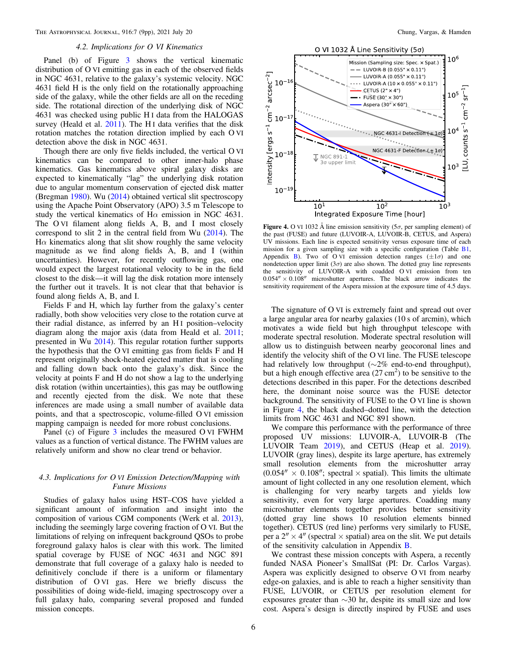# 4.2. Implications for O VI Kinematics

<span id="page-5-0"></span>Panel (b) of Figure [3](#page-4-0) shows the vertical kinematic distribution of O VI emitting gas in each of the observed fields in NGC 4631, relative to the galaxy's systemic velocity. NGC 4631 field H is the only field on the rotationally approaching side of the galaxy, while the other fields are all on the receding side. The rotational direction of the underlying disk of NGC 4631 was checked using public H I data from the HALOGAS survey (Heald et al.  $2011$ ). The H<sub>I</sub> data verifies that the disk rotation matches the rotation direction implied by each O VI detection above the disk in NGC 4631.

Though there are only five fields included, the vertical O VI kinematics can be compared to other inner-halo phase kinematics. Gas kinematics above spiral galaxy disks are expected to kinematically "lag" the underlying disk rotation due to angular momentum conservation of ejected disk matter (Bregman [1980](#page-8-0)). Wu ([2014](#page-8-0)) obtained vertical slit spectroscopy using the Apache Point Observatory (APO) 3.5 m Telescope to study the vertical kinematics of  $H\alpha$  emission in NGC 4631. The O VI filament along fields A, B, and I most closely correspond to slit 2 in the central field from Wu ([2014](#page-8-0)). The  $H\alpha$  kinematics along that slit show roughly the same velocity magnitude as we find along fields A, B, and I (within uncertainties). However, for recently outflowing gas, one would expect the largest rotational velocity to be in the field closest to the disk—it will lag the disk rotation more intensely the further out it travels. It is not clear that that behavior is found along fields A, B, and I.

Fields F and H, which lay further from the galaxy's center radially, both show velocities very close to the rotation curve at their radial distance, as inferred by an H<sub>I</sub> position–velocity diagram along the major axis (data from Heald et al. [2011](#page-8-0); presented in Wu [2014](#page-8-0)). This regular rotation further supports the hypothesis that the O VI emitting gas from fields F and H represent originally shock-heated ejected matter that is cooling and falling down back onto the galaxy's disk. Since the velocity at points F and H do not show a lag to the underlying disk rotation (within uncertainties), this gas may be outflowing and recently ejected from the disk. We note that these inferences are made using a small number of available data points, and that a spectroscopic, volume-filled O VI emission mapping campaign is needed for more robust conclusions.

Panel (c) of Figure [3](#page-4-0) includes the measured O VI FWHM values as a function of vertical distance. The FWHM values are relatively uniform and show no clear trend or behavior.

# 4.3. Implications for O VI Emission Detection/Mapping with Future Missions

Studies of galaxy halos using HST–COS have yielded a significant amount of information and insight into the composition of various CGM components (Werk et al. [2013](#page-8-0)), including the seemingly large covering fraction of O VI. But the limitations of relying on infrequent background QSOs to probe foreground galaxy halos is clear with this work. The limited spatial coverage by FUSE of NGC 4631 and NGC 891 demonstrate that full coverage of a galaxy halo is needed to definitively conclude if there is a uniform or filamentary distribution of O VI gas. Here we briefly discuss the possibilities of doing wide-field, imaging spectroscopy over a full galaxy halo, comparing several proposed and funded mission concepts.





Figure 4. O VI 1032 Å line emission sensitivity ( $5\sigma$ , per sampling element) of the past (FUSE) and future (LUVOIR-A, LUVOIR-B, CETUS, and Aspera) UV missions. Each line is expected sensitivity versus exposure time of each mission for a given sampling size with a specific configuration (Table [B1,](#page-7-0) Appendix [B](#page-6-0)). Two of O VI emission detection ranges  $(\pm 1\sigma)$  and one nondetection upper limit ( $3\sigma$ ) are also shown. The dotted gray line represents the sensitivity of LUVOIR-A with coadded O VI emission from ten  $0.054'' \times 0.108''$  microshutter apertures. The black arrow indicates the sensitivity requirement of the Aspera mission at the exposure time of 4.5 days.

The signature of O VI is extremely faint and spread out over a large angular area for nearby galaxies (10 s of arcmin), which motivates a wide field but high throughput telescope with moderate spectral resolution. Moderate spectral resolution will allow us to distinguish between nearby geocoronal lines and identify the velocity shift of the O VI line. The FUSE telescope had relatively low throughput (∼2% end-to-end throughput), but a high enough effective area  $(27 \text{ cm}^2)$  to be sensitive to the detections described in this paper. For the detections described here, the dominant noise source was the FUSE detector background. The sensitivity of FUSE to the O VI line is shown in Figure 4, the black dashed–dotted line, with the detection limits from NGC 4631 and NGC 891 shown.

We compare this performance with the performance of three proposed UV missions: LUVOIR-A, LUVOIR-B (The LUVOIR Team [2019](#page-8-0)), and CETUS (Heap et al. [2019](#page-8-0)). LUVOIR (gray lines), despite its large aperture, has extremely small resolution elements from the microshutter array  $(0.054'' \times 0.108'')$ ; spectral  $\times$  spatial). This limits the ultimate amount of light collected in any one resolution element, which is challenging for very nearby targets and yields low sensitivity, even for very large apertures. Coadding many microshutter elements together provides better sensitivity (dotted gray line shows 10 resolution elements binned together). CETUS (red line) performs very similarly to FUSE, per a  $2'' \times 4''$  (spectral  $\times$  spatial) area on the slit. We put details of the sensitivity calculation in Appendix [B](#page-6-0).

We contrast these mission concepts with Aspera, a recently funded NASA Pioneer's SmallSat (PI: Dr. Carlos Vargas). Aspera was explicitly designed to observe O VI from nearby edge-on galaxies, and is able to reach a higher sensitivity than FUSE, LUVOIR, or CETUS per resolution element for exposures greater than ∼30 hr, despite its small size and low cost. Aspera's design is directly inspired by FUSE and uses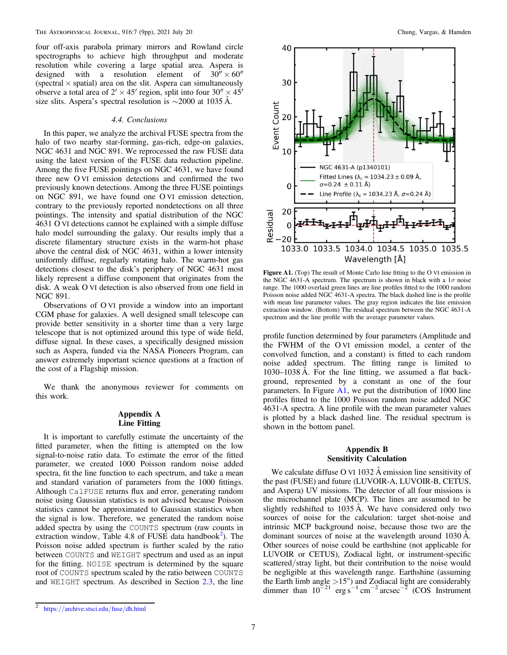<span id="page-6-0"></span>four off-axis parabola primary mirrors and Rowland circle spectrographs to achieve high throughput and moderate resolution while covering a large spatial area. Aspera is designed with a resolution element of  $30^7 \times 60''$ (spectral  $\times$  spatial) area on the slit. Aspera can simultaneously observe a total area of  $2' \times 45'$  region, split into four  $30'' \times 45'$ size slits. Aspera's spectral resolution is ∼2000 at 1035 Å.

## 4.4. Conclusions

In this paper, we analyze the archival FUSE spectra from the halo of two nearby star-forming, gas-rich, edge-on galaxies, NGC 4631 and NGC 891. We reprocessed the raw FUSE data using the latest version of the FUSE data reduction pipeline. Among the five FUSE pointings on NGC 4631, we have found three new O VI emission detections and confirmed the two previously known detections. Among the three FUSE pointings on NGC 891, we have found one O VI emission detection, contrary to the previously reported nondetections on all three pointings. The intensity and spatial distribution of the NGC 4631 O VI detections cannot be explained with a simple diffuse halo model surrounding the galaxy. Our results imply that a discrete filamentary structure exists in the warm-hot phase above the central disk of NGC 4631, within a lower intensity uniformly diffuse, regularly rotating halo. The warm-hot gas detections closest to the disk's periphery of NGC 4631 most likely represent a diffuse component that originates from the disk. A weak O VI detection is also observed from one field in NGC 891.

Observations of O VI provide a window into an important CGM phase for galaxies. A well designed small telescope can provide better sensitivity in a shorter time than a very large telescope that is not optimized around this type of wide field, diffuse signal. In these cases, a specifically designed mission such as Aspera, funded via the NASA Pioneers Program, can answer extremely important science questions at a fraction of the cost of a Flagship mission.

We thank the anonymous reviewer for comments on this work.

# Appendix A Line Fitting

It is important to carefully estimate the uncertainty of the fitted parameter, when the fitting is attempted on the low signal-to-noise ratio data. To estimate the error of the fitted parameter, we created 1000 Poisson random noise added spectra, fit the line function to each spectrum, and take a mean and standard variation of parameters from the 1000 fittings. Although CalFUSE returns flux and error, generating random noise using Gaussian statistics is not advised because Poisson statistics cannot be approximated to Gaussian statistics when the signal is low. Therefore, we generated the random noise added spectra by using the COUNTS spectrum (raw counts in extraction window, Table 4.8 of FUSE data handbook<sup>2</sup>). The Poisson noise added spectrum is further scaled by the ratio between COUNTS and WEIGHT spectrum and used as an input for the fitting. NOISE spectrum is determined by the square root of COUNTS spectrum scaled by the ratio between COUNTS and WEIGHT spectrum. As described in Section [2.3,](#page-1-0) the line



Figure A1. (Top) The result of Monte Carlo line fitting to the O VI emission in the NGC 4631-A spectrum. The spectrum is shown in black with a  $1\sigma$  noise range. The 1000 overlaid green lines are line profiles fitted to the 1000 random Poisson noise added NGC 4631-A spectra. The black dashed line is the profile with mean line parameter values. The gray region indicates the line emission extraction window. (Bottom) The residual spectrum between the NGC 4631-A spectrum and the line profile with the average parameter values.

profile function determined by four parameters (Amplitude and the FWHM of the O VI emission model, a center of the convolved function, and a constant) is fitted to each random noise added spectrum. The fitting range is limited to 1030–1038 Å. For the line fitting, we assumed a flat background, represented by a constant as one of the four parameters. In Figure  $A1$ , we put the distribution of 1000 line profiles fitted to the 1000 Poisson random noise added NGC 4631-A spectra. A line profile with the mean parameter values is plotted by a black dashed line. The residual spectrum is shown in the bottom panel.

# Appendix B Sensitivity Calculation

We calculate diffuse O VI 1032 Å emission line sensitivity of the past (FUSE) and future (LUVOIR-A, LUVOIR-B, CETUS, and Aspera) UV missions. The detector of all four missions is the microchannel plate (MCP). The lines are assumed to be slightly redshifted to 1035 Å. We have considered only two sources of noise for the calculation: target shot-noise and intrinsic MCP background noise, because those two are the dominant sources of noise at the wavelength around 1030 Å. Other sources of noise could be earthshine (not applicable for LUVOIR or CETUS), Zodiacal light, or instrument-specific scattered/stray light, but their contribution to the noise would be negligible at this wavelength range. Earthshine (assuming the Earth limb angle  $>15^{\circ}$ ) and Zodiacal light are considerably dimmer than  $10^{-21}$  erg s<sup>-1</sup> cm<sup>-2</sup> arcsec<sup>-2</sup> (COS Instrument

<sup>2</sup> https://[archive.stsci.edu](https://archive.stsci.edu/fuse/dh.html)/fuse/dh.html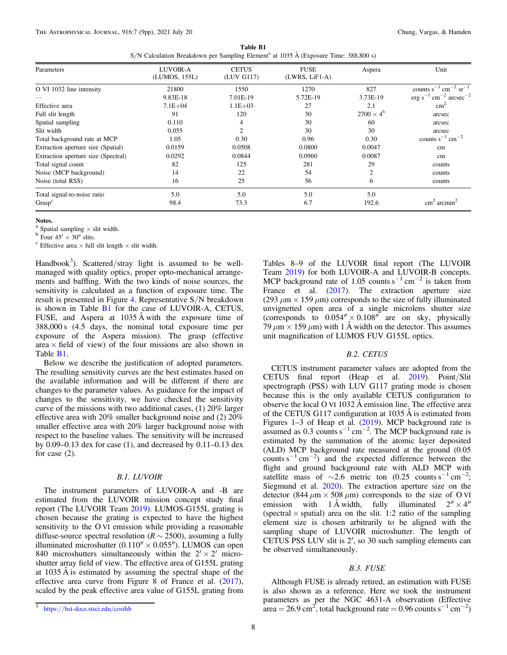| Table B1                                                                                         |  |  |  |  |  |  |  |  |
|--------------------------------------------------------------------------------------------------|--|--|--|--|--|--|--|--|
| S/N Calculation Breakdown per Sampling Element <sup>a</sup> at 1035 Å (Exposure Time: 388,800 s) |  |  |  |  |  |  |  |  |

<span id="page-7-0"></span>

| Parameters                          | LUVOIR-A<br>(LUMOS, 155L) | <b>CETUS</b><br>(LUV G117) | <b>FUSE</b><br>$(LWRS, LiF1-A)$ | Aspera                  | Unit                                              |
|-------------------------------------|---------------------------|----------------------------|---------------------------------|-------------------------|---------------------------------------------------|
| O VI 1032 line intensity            | 21800                     | 1550                       | 1270                            | 827                     | counts $s^{-1}$ cm <sup>-2</sup> sr <sup>-1</sup> |
| $\cdots$                            | 9.83E-18                  | 7.01E-19                   | 5.72E-19                        | 3.73E-19                | $erg s^{-1} cm^{-2} arcsec^{-2}$                  |
| Effective area                      | $7.1E + 04$               | $1.1E + 03$                | 27                              | 2.1                     | $\text{cm}^2$                                     |
| Full slit length                    | 91                        | 120                        | 30                              | $2700 \times 4^{\rm b}$ | arcsec                                            |
| Spatial sampling                    | 0.110                     | 4                          | 30                              | 60                      | arcsec                                            |
| Slit width                          | 0.055                     |                            | 30                              | 30                      | arcsec                                            |
| Total background rate at MCP        | 1.05                      | 0.30                       | 0.96                            | 0.30                    | counts $s^{-1}$ cm <sup>-2</sup>                  |
| Extraction aperture size (Spatial)  | 0.0159                    | 0.0508                     | 0.0800                          | 0.0047                  | cm                                                |
| Extraction aperture size (Spectral) | 0.0292                    | 0.0844                     | 0.0960                          | 0.0087                  | cm                                                |
| Total signal count                  | 82                        | 125                        | 281                             | 29                      | counts                                            |
| Noise (MCP background)              | 14                        | 22                         | 54                              | $\overline{c}$          | counts                                            |
| Noise (total RSS)                   | 16                        | 25                         | 56                              | 6                       | counts                                            |
| Total signal-to-noise ratio         | 5.0                       | 5.0                        | 5.0                             | 5.0                     |                                                   |
| Grasp <sup>c</sup>                  | 98.4                      | 73.3                       | 6.7                             | 192.6                   | $\text{cm}^2 \text{ arcmin}^2$                    |

#### Notes.

<sup>a</sup> Spatial sampling × slit width.<br><sup>b</sup> Four 45′ × 30″ slits.<br><sup>c</sup> Effective area × full slit length × slit width.

Handbook<sup>3</sup>). Scattered/stray light is assumed to be wellmanaged with quality optics, proper opto-mechanical arrangements and baffling. With the two kinds of noise sources, the sensitivity is calculated as a function of exposure time. The result is presented in Figure [4](#page-5-0). Representative S/N breakdown is shown in Table B1 for the case of LUVOIR-A, CETUS, FUSE, and Aspera at 1035 Å with the exposure time of 388,000 s (4.5 days, the nominal total exposure time per exposure of the Aspera mission). The grasp (effective area  $\times$  field of view) of the four missions are also shown in Table B1.

Below we describe the justification of adopted parameters. The resulting sensitivity curves are the best estimates based on the available information and will be different if there are changes to the parameter values. As guidance for the impact of changes to the sensitivity, we have checked the sensitivity curve of the missions with two additional cases, (1) 20% larger effective area with 20% smaller background noise and (2) 20% smaller effective area with 20% larger background noise with respect to the baseline values. The sensitivity will be increased by 0.09–0.13 dex for case (1), and decreased by 0.11–0.13 dex for case (2).

## B.1. LUVOIR

The instrument parameters of LUVOIR-A and -B are estimated from the LUVOIR mission concept study final report (The LUVOIR Team [2019](#page-8-0)). LUMOS-G155L grating is chosen because the grating is expected to have the highest sensitivity to the O VI emission while providing a reasonable diffuse-source spectral resolution ( $R \sim 2500$ ), assuming a fully illuminated microshutter  $(0.110'' \times 0.055'')$ . LUMOS can open 840 microshutters simultaneously within the  $2' \times 2'$  microshutter array field of view. The effective area of G155L grating at 1035 Å is estimated by assuming the spectral shape of the effective area curve from Figure 8 of France et al. ([2017](#page-8-0)), scaled by the peak effective area value of G155L grating from

# B.2. CETUS

CETUS instrument parameter values are adopted from the CETUS final report (Heap et al. [2019](#page-8-0)). Point/Slit spectrograph (PSS) with LUV G117 grating mode is chosen because this is the only available CETUS configuration to observe the local O VI 1032 Å emission line. The effective area of the CETUS G117 configuration at 1035 Å is estimated from Figures 1–3 of Heap et al. ([2019](#page-8-0)). MCP background rate is assumed as 0.3 counts s<sup>-1</sup> cm<sup>-2</sup>. The MCP background rate is estimated by the summation of the atomic layer deposited (ALD) MCP background rate measured at the ground (0.05 counts s<sup>-1</sup> cm<sup>-2</sup>) and the expected difference between the flight and ground background rate with ALD MCP with satellite mass of  $\sim$ 2.6 metric ton (0.25 counts s<sup>-1</sup> cm<sup>-2</sup>; Siegmund et al. [2020](#page-8-0)). The extraction aperture size on the detector (844  $\mu$ m  $\times$  508  $\mu$ m) corresponds to the size of O VI emission with 1 Å width, fully illuminated  $2'' \times 4''$ (spectral  $\times$  spatial) area on the slit. 1:2 ratio of the sampling element size is chosen arbitrarily to be aligned with the sampling shape of LUVOIR microshutter. The length of CETUS PSS LUV slit is 2′, so 30 such sampling elements can be observed simultaneously.

## B.3. FUSE

Although FUSE is already retired, an estimation with FUSE is also shown as a reference. Here we took the instrument parameters as per the NGC 4631-A observation (Effective area = 26.9 cm<sup>2</sup>, total background rate = 0.96 counts s<sup>-1</sup> cm<sup>-2</sup>)

Tables 8–9 of the LUVOIR final report (The LUVOIR Team [2019](#page-8-0)) for both LUVOIR-A and LUVOIR-B concepts. MCP background rate of 1.05 counts s<sup> $-1$ </sup> cm<sup> $-2$ </sup> is taken from France et al. ([2017](#page-8-0)). The extraction aperture size (293  $\mu$ m × 159  $\mu$ m) corresponds to the size of fully illuminated unvignetted open area of a single microlens shutter size (corresponds to  $0.054'' \times 0.108''$  are on sky, physically 79  $\mu$ m  $\times$  159  $\mu$ m) with 1 Å width on the detector. This assumes unit magnification of LUMOS FUV G155L optics.

<sup>3</sup> https://[hst-docs.stsci.edu](https://hst-docs.stsci.edu/cosihb)/cosihb